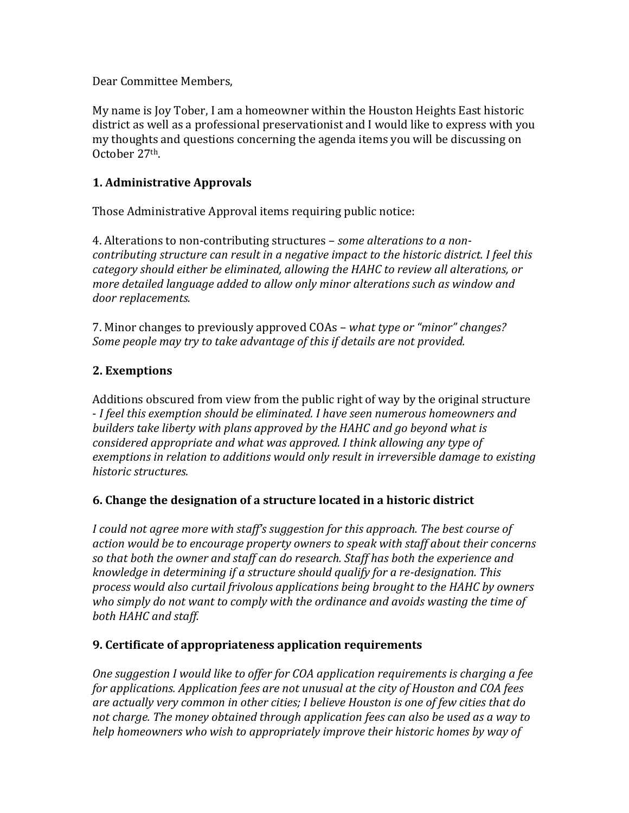Dear Committee Members,

My name is Joy Tober, I am a homeowner within the Houston Heights East historic district as well as a professional preservationist and I would like to express with you my thoughts and questions concerning the agenda items you will be discussing on October 27th.

### **1. Administrative Approvals**

Those Administrative Approval items requiring public notice:

4. Alterations to non-contributing structures – *some alterations to a noncontributing structure can result in a negative impact to the historic district. I feel this category should either be eliminated, allowing the HAHC to review all alterations, or more detailed language added to allow only minor alterations such as window and door replacements.*

7. Minor changes to previously approved COAs – *what type or "minor" changes? Some people may try to take advantage of this if details are not provided.*

# **2. Exemptions**

Additions obscured from view from the public right of way by the original structure - *I feel this exemption should be eliminated. I have seen numerous homeowners and builders take liberty with plans approved by the HAHC and go beyond what is considered appropriate and what was approved. I think allowing any type of exemptions in relation to additions would only result in irreversible damage to existing historic structures.*

# **6. Change the designation of a structure located in a historic district**

*I could not agree more with staff's suggestion for this approach. The best course of action would be to encourage property owners to speak with staff about their concerns so that both the owner and staff can do research. Staff has both the experience and knowledge in determining if a structure should qualify for a re-designation. This process would also curtail frivolous applications being brought to the HAHC by owners who simply do not want to comply with the ordinance and avoids wasting the time of both HAHC and staff.*

#### **9. Certificate of appropriateness application requirements**

*One suggestion I would like to offer for COA application requirements is charging a fee for applications. Application fees are not unusual at the city of Houston and COA fees are actually very common in other cities; I believe Houston is one of few cities that do not charge. The money obtained through application fees can also be used as a way to help homeowners who wish to appropriately improve their historic homes by way of*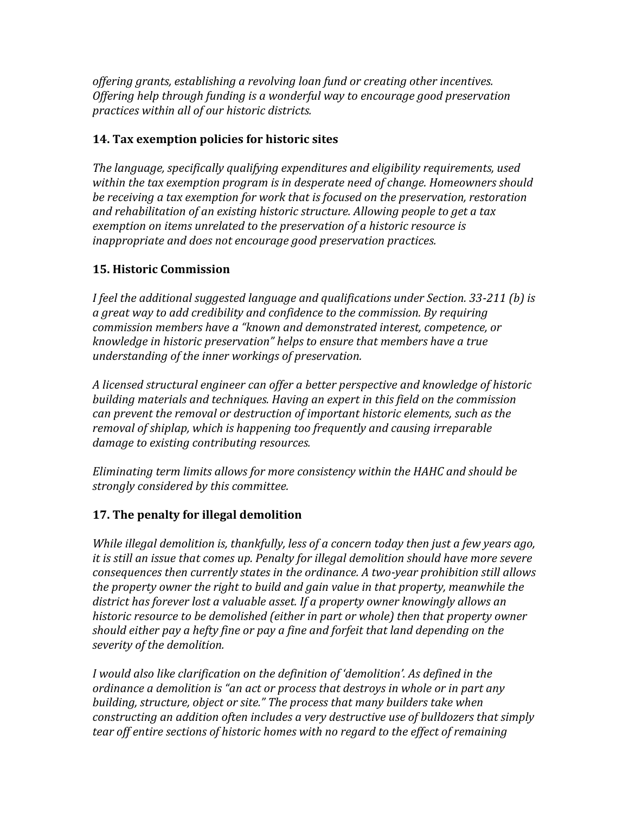*offering grants, establishing a revolving loan fund or creating other incentives. Offering help through funding is a wonderful way to encourage good preservation practices within all of our historic districts.*

### **14. Tax exemption policies for historic sites**

*The language, specifically qualifying expenditures and eligibility requirements, used within the tax exemption program is in desperate need of change. Homeowners should be receiving a tax exemption for work that is focused on the preservation, restoration and rehabilitation of an existing historic structure. Allowing people to get a tax exemption on items unrelated to the preservation of a historic resource is inappropriate and does not encourage good preservation practices.* 

### **15. Historic Commission**

*I feel the additional suggested language and qualifications under Section. 33-211 (b) is a great way to add credibility and confidence to the commission. By requiring commission members have a "known and demonstrated interest, competence, or knowledge in historic preservation" helps to ensure that members have a true understanding of the inner workings of preservation.*

*A licensed structural engineer can offer a better perspective and knowledge of historic building materials and techniques. Having an expert in this field on the commission can prevent the removal or destruction of important historic elements, such as the removal of shiplap, which is happening too frequently and causing irreparable damage to existing contributing resources.*

*Eliminating term limits allows for more consistency within the HAHC and should be strongly considered by this committee.*

# **17. The penalty for illegal demolition**

*While illegal demolition is, thankfully, less of a concern today then just a few years ago, it is still an issue that comes up. Penalty for illegal demolition should have more severe consequences then currently states in the ordinance. A two-year prohibition still allows the property owner the right to build and gain value in that property, meanwhile the district has forever lost a valuable asset. If a property owner knowingly allows an historic resource to be demolished (either in part or whole) then that property owner should either pay a hefty fine or pay a fine and forfeit that land depending on the severity of the demolition.*

*I would also like clarification on the definition of 'demolition'. As defined in the ordinance a demolition is "an act or process that destroys in whole or in part any building, structure, object or site." The process that many builders take when constructing an addition often includes a very destructive use of bulldozers that simply tear off entire sections of historic homes with no regard to the effect of remaining*